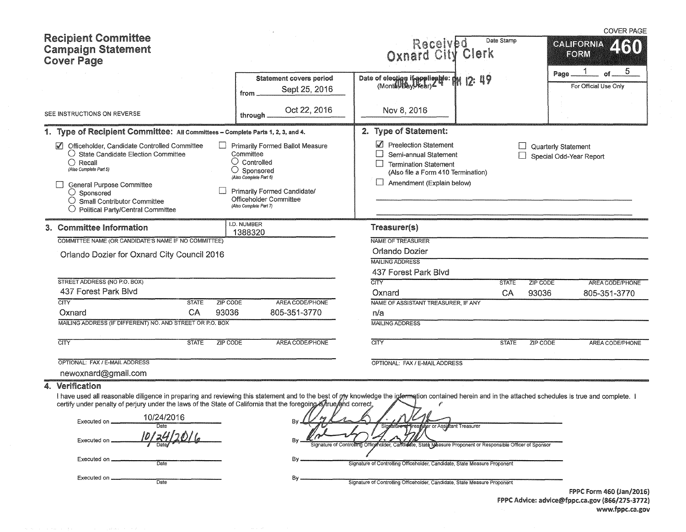|                                                                                                                                                                                                                                                                                                                                                 |                                                                                                                                                                                                            |                                                                                                                                                                        |              | <b>COVER PAGE</b>                              |
|-------------------------------------------------------------------------------------------------------------------------------------------------------------------------------------------------------------------------------------------------------------------------------------------------------------------------------------------------|------------------------------------------------------------------------------------------------------------------------------------------------------------------------------------------------------------|------------------------------------------------------------------------------------------------------------------------------------------------------------------------|--------------|------------------------------------------------|
| <b>Recipient Committee</b><br><b>Campaign Statement</b><br><b>Cover Page</b>                                                                                                                                                                                                                                                                    |                                                                                                                                                                                                            | Received Dat<br>Oxnard City Clerk                                                                                                                                      | Date Stamp   | <b>CALIFORNIA</b><br>EORM                      |
|                                                                                                                                                                                                                                                                                                                                                 | <b>Statement covers period</b><br>Sept 25, 2016<br>from                                                                                                                                                    | Date of election if applicable: the 12: 49                                                                                                                             |              | 5<br>Page<br>For Official Use Only             |
| SEE INSTRUCTIONS ON REVERSE                                                                                                                                                                                                                                                                                                                     | Oct 22, 2016<br>through                                                                                                                                                                                    | Nov 8, 2016                                                                                                                                                            |              |                                                |
| 1. Type of Recipient Committee: All Committees - Complete Parts 1, 2, 3, and 4.                                                                                                                                                                                                                                                                 |                                                                                                                                                                                                            | 2. Type of Statement:                                                                                                                                                  |              |                                                |
| Officeholder, Candidate Controlled Committee<br>$\bigcirc$ State Candidate Election Committee<br>() Recall<br>(Also Complete Part 5)<br>General Purpose Committee<br>$\bigcirc$ Sponsored<br>$\bigcirc$ Small Contributor Committee<br>$\bigcirc$ Political Party/Central Committee                                                             | Primarily Formed Ballot Measure<br>Committee<br>$\bigcirc$ Controlled<br>$\bigcirc$ Sponsored<br>(Also Complete Part 6)<br>Primarily Formed Candidate/<br>Officeholder Committee<br>(Also Complete Part 7) | Preelection Statement<br>Semi-annual Statement<br><b>Termination Statement</b><br>$\vert \ \ \vert$<br>(Also file a Form 410 Termination)<br>Amendment (Explain below) |              | Quarterly Statement<br>Special Odd-Year Report |
| 3. Committee Information                                                                                                                                                                                                                                                                                                                        | I.D. NUMBER                                                                                                                                                                                                | Treasurer(s)                                                                                                                                                           |              |                                                |
| COMMITTEE NAME (OR CANDIDATE'S NAME IF NO COMMITTEE)                                                                                                                                                                                                                                                                                            | 1388320                                                                                                                                                                                                    | NAME OF TREASURER                                                                                                                                                      |              |                                                |
|                                                                                                                                                                                                                                                                                                                                                 |                                                                                                                                                                                                            | Orlando Dozier                                                                                                                                                         |              |                                                |
| Orlando Dozier for Oxnard City Council 2016                                                                                                                                                                                                                                                                                                     |                                                                                                                                                                                                            | <b>MAILING ADDRESS</b>                                                                                                                                                 |              |                                                |
|                                                                                                                                                                                                                                                                                                                                                 |                                                                                                                                                                                                            | 437 Forest Park Blvd                                                                                                                                                   |              |                                                |
| STREET ADDRESS (NO P.O. BOX)                                                                                                                                                                                                                                                                                                                    |                                                                                                                                                                                                            | <b>CITY</b>                                                                                                                                                            |              |                                                |
| 437 Forest Park Blvd                                                                                                                                                                                                                                                                                                                            |                                                                                                                                                                                                            |                                                                                                                                                                        | <b>STATE</b> | ZIP CODE<br><b>AREA CODE/PHONE</b>             |
| <b>CITY</b><br><b>ZIP CODE</b><br><b>STATE</b>                                                                                                                                                                                                                                                                                                  | AREA CODE/PHONE                                                                                                                                                                                            | Oxnard<br>NAME OF ASSISTANT TREASURER, IF ANY                                                                                                                          | CA           | 93036<br>805-351-3770                          |
| CA<br>93036<br>Oxnard                                                                                                                                                                                                                                                                                                                           | 805-351-3770                                                                                                                                                                                               | n/a                                                                                                                                                                    |              |                                                |
| MAILING ADDRESS (IF DIFFERENT) NO. AND STREET OR P.O. BOX                                                                                                                                                                                                                                                                                       |                                                                                                                                                                                                            | <b>MAILING ADDRESS</b>                                                                                                                                                 |              |                                                |
|                                                                                                                                                                                                                                                                                                                                                 |                                                                                                                                                                                                            |                                                                                                                                                                        |              |                                                |
| <b>CITY</b><br><b>STATE</b><br><b>ZIP CODE</b>                                                                                                                                                                                                                                                                                                  | AREA CODE/PHONE                                                                                                                                                                                            | <b>CITY</b>                                                                                                                                                            | <b>STATE</b> | ZIP CODE<br>AREA CODE/PHONE                    |
| OPTIONAL: FAX / E-MAIL ADDRESS                                                                                                                                                                                                                                                                                                                  |                                                                                                                                                                                                            | OPTIONAL: FAX / E-MAIL ADDRESS                                                                                                                                         |              |                                                |
| newoxnard@gmail.com                                                                                                                                                                                                                                                                                                                             |                                                                                                                                                                                                            |                                                                                                                                                                        |              |                                                |
| Verification<br>4.<br>I have used all reasonable diligence in preparing and reviewing this statement and to the best of py knowledge the information contained herein and in the attached schedules is true and complete. I<br>certify under penalty of perjury under the laws of the State of California that the foregoing Khrue and correct, |                                                                                                                                                                                                            |                                                                                                                                                                        |              |                                                |
| 10/24/2016<br>Executed on                                                                                                                                                                                                                                                                                                                       |                                                                                                                                                                                                            | urer or Assistant Treasurer                                                                                                                                            |              |                                                |
| <u>10/24/20</u><br>Executed on                                                                                                                                                                                                                                                                                                                  | By                                                                                                                                                                                                         | Signature of Controlling Officeholder, Candidate, State Measure Proponent or Responsible Officer of Sponsor                                                            |              |                                                |

|  | Date |
|--|------|

Executed on **Date** 

By **Signature of Controlling Officeholder, Candidate, State Measure Proponent** 

By **Signature of Controlling Officeholder**, Candidate, State Measure Proponent

FPPC Form 460 (Jan/2016) FPPC Advice: advice@fppc.ca.gov (866/275-3772) www.fppc.ca.gov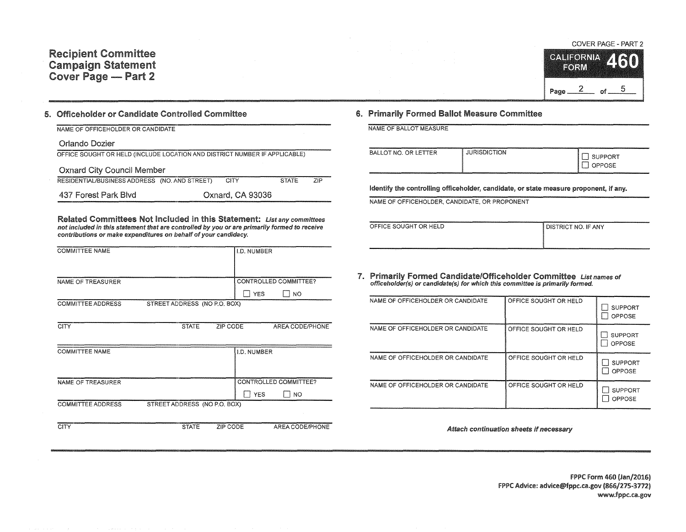## COVER PAGE - PART 2



## 5. Officeholder or Candidate Controlled Committee

| NAME OF OFFICEHOLDER OR CANDIDATE                                          |                  |              |     |
|----------------------------------------------------------------------------|------------------|--------------|-----|
| Orlando Dozier                                                             |                  |              |     |
| OFFICE SOUGHT OR HELD (INCLUDE LOCATION AND DISTRICT NUMBER IF APPLICABLE) |                  |              |     |
| <b>Oxnard City Council Member</b>                                          |                  |              |     |
| RESIDENTIAL/BUSINESS ADDRESS (NO. AND STREET)                              | CITY             | <b>STATE</b> | 7IP |
| 437 Forest Park Blvd                                                       | Oxnard, CA 93036 |              |     |

Related Committees Not Included in this Statement: List any committees not included in this statement that are controlled by you or are primarily formed to receive contributions or make expenditures on behalf of your candidacy.

| <b>COMMITTEE NAME</b>    |                              | I.D. NUMBER           |     |
|--------------------------|------------------------------|-----------------------|-----|
|                          |                              |                       |     |
|                          |                              |                       |     |
| NAME OF TREASURER        |                              | CONTROLLED COMMITTEE? |     |
|                          |                              | <b>YES</b>            | NO. |
| <b>COMMITTEE ADDRESS</b> | STREET ADDRESS (NO P.O. BOX) |                       |     |

| <b>CITY</b>              | <b>STATE</b>                 | ZIP CODE           | AREA CODE/PHONE         |
|--------------------------|------------------------------|--------------------|-------------------------|
| <b>COMMITTEE NAME</b>    |                              | <b>I.D. NUMBER</b> |                         |
| <b>NAME OF TREASURER</b> |                              |                    | CONTROLLED COMMITTEE?   |
|                          |                              |                    | <b>YES</b><br><b>NO</b> |
| <b>COMMITTEE ADDRESS</b> | STREET ADDRESS (NO P.O. BOX) |                    |                         |
| CITY                     | <b>STATE</b>                 | ZIP CODE           | AREA CODE/PHONE         |

## 6. Primarily Formed Ballot Measure Committee

NAME OF BALLOT MEASURE

| BALLOT NO. OR LETTER<br>the contract of the contract of the contract of the contract of the contract of the contract of the contract of | .<br><b>JURISDICTION</b> | <b>STATISTICS</b><br><b>UPPORT</b><br><b>OPPOSE</b> |
|-----------------------------------------------------------------------------------------------------------------------------------------|--------------------------|-----------------------------------------------------|
|-----------------------------------------------------------------------------------------------------------------------------------------|--------------------------|-----------------------------------------------------|

identify the controlling officeholder, candidate, or state measure proponent, if any.

NAME OF OFFICEHOLDER, CANDIDATE, OR PROPONENT

| OFFICE SOUGHT OR HELD | <b>DISTRICT NO. IF ANY</b> |
|-----------------------|----------------------------|
|                       |                            |
|                       |                            |

7. Primarily Formed Candidate/Officeholder Committee List names of offlceholder(s) or candidate(s) for which this committee is primarily formed.

| NAME OF OFFICEHOLDER OR CANDIDATE | OFFICE SOUGHT OR HELD | <b>SUPPORT</b><br>OPPOSE |
|-----------------------------------|-----------------------|--------------------------|
| NAME OF OFFICEHOLDER OR CANDIDATE | OFFICE SOUGHT OR HELD | <b>SUPPORT</b><br>OPPOSE |
| NAME OF OFFICEHOLDER OR CANDIDATE | OFFICE SOUGHT OR HELD | <b>SUPPORT</b><br>OPPOSE |
| NAME OF OFFICEHOLDER OR CANDIDATE | OFFICE SOUGHT OR HELD | <b>SUPPORT</b><br>OPPOSE |

Attach continuation sheets if necessary

FPPC Form 460 (Jan/2016) F?PC Advice: advice@fppc.ca.gov (866/275-3772) www.fppc.ca.gov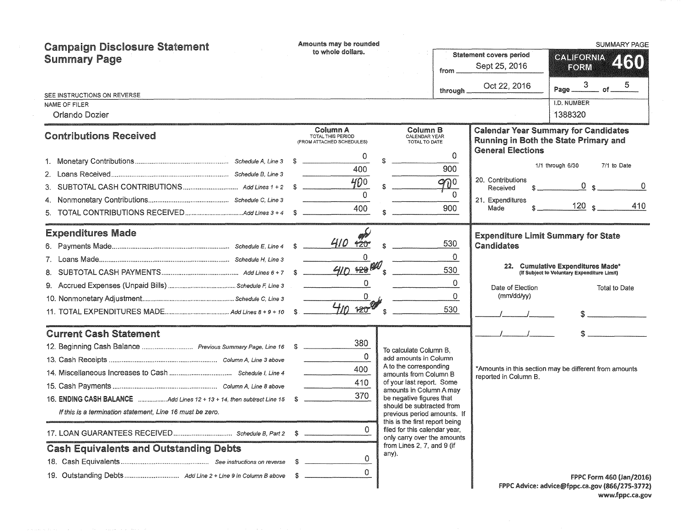| <b>Campaign Disclosure Statement</b>                                                                                                                                                                                                                                          | Amounts may be rounded<br>to whole dollars.                           |                                                                                                                                                                                                                                                                                                                                                                                             | <b>SUMMARY PAGE</b>                                       |                                                                                                                                                                                        |  |  |
|-------------------------------------------------------------------------------------------------------------------------------------------------------------------------------------------------------------------------------------------------------------------------------|-----------------------------------------------------------------------|---------------------------------------------------------------------------------------------------------------------------------------------------------------------------------------------------------------------------------------------------------------------------------------------------------------------------------------------------------------------------------------------|-----------------------------------------------------------|----------------------------------------------------------------------------------------------------------------------------------------------------------------------------------------|--|--|
| <b>Summary Page</b>                                                                                                                                                                                                                                                           |                                                                       | from.                                                                                                                                                                                                                                                                                                                                                                                       | <b>Statement covers period</b><br>Sept 25, 2016           | <b>GALIFORNIA</b><br>460<br>FORM                                                                                                                                                       |  |  |
|                                                                                                                                                                                                                                                                               |                                                                       | through                                                                                                                                                                                                                                                                                                                                                                                     | Oct 22, 2016                                              | 5<br>$of$ $-$<br>Page __                                                                                                                                                               |  |  |
| SEE INSTRUCTIONS ON REVERSE<br>NAME OF FILER<br>Orlando Dozier                                                                                                                                                                                                                |                                                                       |                                                                                                                                                                                                                                                                                                                                                                                             |                                                           | I.D. NUMBER<br>1388320                                                                                                                                                                 |  |  |
| <b>Contributions Received</b>                                                                                                                                                                                                                                                 | Column A<br>TOTAL THIS PERIOD<br>(FROM ATTACHED SCHEDULES)            | Column B<br>CALENDAR YEAR<br>TOTAL TO DATE                                                                                                                                                                                                                                                                                                                                                  | <b>General Elections</b>                                  | <b>Calendar Year Summary for Candidates</b><br>Running in Both the State Primary and                                                                                                   |  |  |
| 4.<br>5.                                                                                                                                                                                                                                                                      | 0<br>400<br>$400 -$<br>400                                            | $\Omega$<br>900<br>900<br>$\Omega$<br>900                                                                                                                                                                                                                                                                                                                                                   | 20. Contributions<br>Received<br>21. Expenditures<br>Made | 7/1 to Date<br>1/1 through 6/30<br>0 s<br>120 s<br>410                                                                                                                                 |  |  |
| <b>Expenditures Made</b>                                                                                                                                                                                                                                                      | $420^{\circ}$<br>$\Omega$<br>$410 + 20$<br>$\overline{0}$<br>410, 120 | 530<br>$\Omega$<br>530<br>0<br>$\Omega$<br>530                                                                                                                                                                                                                                                                                                                                              | Candidates<br>Date of Election<br>(mm/dd/yy)              | <b>Expenditure Limit Summary for State</b><br>22. Cumulative Expenditures Made*<br>(If Subject to Voluntary Expenditure Limit)<br><b>Total to Date</b><br>$\mathbb{S}$ $\qquad \qquad$ |  |  |
| <b>Current Cash Statement</b><br>16. ENDING CASH BALANCE Add Lines 12 + 13 + 14, then subtract Line 15 \$<br>If this is a termination statement. Line 16 must be zero.<br>17. LOAN GUARANTEES RECEIVED Schedule B, Part 2 \$<br><b>Cash Equivalents and Outstanding Debts</b> | 380<br>$\Omega$<br>400<br>410<br>370<br>0                             | To calculate Column B,<br>add amounts in Column<br>A to the corresponding<br>amounts from Column B<br>of your last report. Some<br>amounts in Column A may<br>be negative figures that<br>should be subtracted from<br>previous period amounts. If<br>this is the first report being<br>filed for this calendar year,<br>only carry over the amounts<br>from Lines 2, 7, and 9 (if<br>any). | reported in Column B.                                     | *Amounts in this section may be different from amounts                                                                                                                                 |  |  |
|                                                                                                                                                                                                                                                                               | 0<br>-S<br>0                                                          |                                                                                                                                                                                                                                                                                                                                                                                             |                                                           | FPPC Form 460 (Jan/2016)<br>FPPC Advice: advice@fppc.ca.gov (866/275-3772)                                                                                                             |  |  |

FPPC Advice: advice@fppc.ca.gov (866/275-3772) www.fppc.ca.gov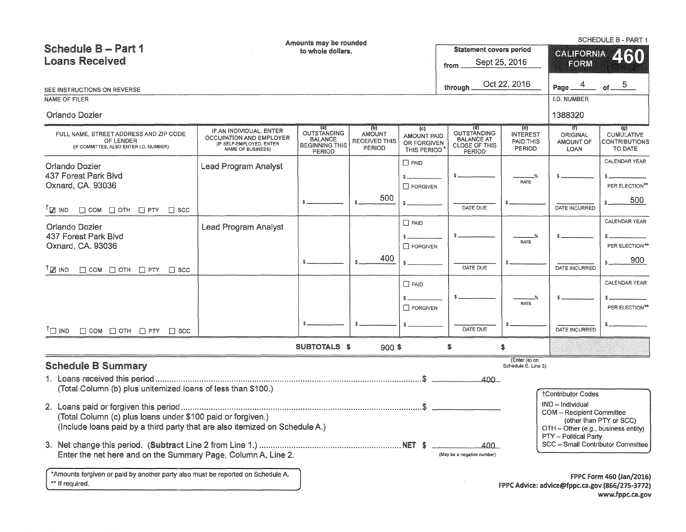|                                                                                                                                                                                                             |                                                                                                     | Amounts may be rounded                                           |                                                        |                                                  |                                                             |                                        |                                                                                                                             | <b>SCHEDULE B - PART 1</b>                                                                    |
|-------------------------------------------------------------------------------------------------------------------------------------------------------------------------------------------------------------|-----------------------------------------------------------------------------------------------------|------------------------------------------------------------------|--------------------------------------------------------|--------------------------------------------------|-------------------------------------------------------------|----------------------------------------|-----------------------------------------------------------------------------------------------------------------------------|-----------------------------------------------------------------------------------------------|
| <b>Schedule B - Part 1</b>                                                                                                                                                                                  |                                                                                                     | to whole dollars.                                                |                                                        |                                                  | <b>Statement covers period</b>                              |                                        |                                                                                                                             | GALIFORNIA 450                                                                                |
| <b>Loans Received</b>                                                                                                                                                                                       |                                                                                                     |                                                                  |                                                        |                                                  | from                                                        | Sept 25, 2016                          | FORM                                                                                                                        |                                                                                               |
|                                                                                                                                                                                                             |                                                                                                     |                                                                  |                                                        |                                                  |                                                             |                                        |                                                                                                                             |                                                                                               |
| SEE INSTRUCTIONS ON REVERSE                                                                                                                                                                                 |                                                                                                     |                                                                  |                                                        |                                                  | through                                                     | Oct 22, 2016                           | 4<br>Page _                                                                                                                 | of $ 5$                                                                                       |
| NAME OF FILER                                                                                                                                                                                               |                                                                                                     |                                                                  |                                                        |                                                  |                                                             |                                        | I.D. NUMBER                                                                                                                 |                                                                                               |
| Orlando Dozier                                                                                                                                                                                              |                                                                                                     |                                                                  |                                                        |                                                  |                                                             |                                        | 1388320                                                                                                                     |                                                                                               |
| FULL NAME. STREET ADDRESS AND ZIP CODE<br>OF LENDER<br>(IF COMMITTEE, ALSO ENTER I.D. NUMBER)                                                                                                               | IF AN INDIVIDUAL, ENTER<br>OCCUPATION AND EMPLOYER<br>(IF SELF-EMPLOYED, ENTER<br>NAME OF BUSINESS) | (a)<br>OUTSTANDING<br>BALANCE<br><b>BEGINNING THIS</b><br>PERIOD | (p)<br><b>AMOUNT</b><br><b>RECEIVED THIS</b><br>PERIOD | (c)<br>AMOUNT PAID<br>OR FORGIVEN<br>THIS PERIOD | OUTSTANDING<br><b>BALANCE AT</b><br>CLOSE OF THIS<br>PERIOD | (e)<br>INTEREST<br>PAID THIS<br>PERIOD | $\omega$<br>ORIGINAL<br>AMOUNT OF<br><b>LOAN</b>                                                                            | (g)<br><b>CUMULATIVE</b><br><b>CONTRIBUTIONS</b><br>TO DATE                                   |
| Orlando Dozier<br>437 Forest Park Blvd<br>Oxnard, CA. 93036                                                                                                                                                 | Lead Program Analyst                                                                                |                                                                  | 500                                                    | $\square$ PAID<br>$\sim$<br>$\Box$ FORGIVEN      |                                                             | RATE                                   |                                                                                                                             | CALENDAR YEAR<br>PER ELECTION**<br>500                                                        |
| <sup>1</sup> ⊠ IND<br>$\Box$ COM $\Box$ OTH $\Box$ PTY $\Box$ SCC                                                                                                                                           |                                                                                                     |                                                                  |                                                        |                                                  | DATE DUE                                                    |                                        | DATE INCURRED                                                                                                               |                                                                                               |
| Orlando Dozier<br>437 Forest Park Blvd<br>Oxnard, CA. 93036                                                                                                                                                 | Lead Program Analyst                                                                                |                                                                  | 400                                                    | $\Box$ PAID<br>$\Box$ FORGIVEN                   |                                                             | %<br>RATE                              |                                                                                                                             | CALENDAR YEAR<br>PER ELECTION**<br>900                                                        |
| $\mathbb{Z}$ IND<br>$\Box$ COM $\Box$ OTH $\Box$ PTY $\Box$ SCC                                                                                                                                             |                                                                                                     |                                                                  |                                                        |                                                  | DATE DUE                                                    |                                        | DATE INCURRED                                                                                                               |                                                                                               |
|                                                                                                                                                                                                             |                                                                                                     |                                                                  |                                                        | $\Box$ PAID                                      |                                                             |                                        |                                                                                                                             | CALENDAR YEAR                                                                                 |
|                                                                                                                                                                                                             |                                                                                                     |                                                                  |                                                        |                                                  |                                                             |                                        |                                                                                                                             |                                                                                               |
|                                                                                                                                                                                                             |                                                                                                     |                                                                  |                                                        | $\Box$ FORGIVEN                                  |                                                             | RATE                                   |                                                                                                                             | PER ELECTION**                                                                                |
| $\Box$ IND<br>$\Box$ COM $\Box$ OTH $\Box$ PTY $\Box$ SCC                                                                                                                                                   |                                                                                                     |                                                                  |                                                        |                                                  | DATE DUE                                                    |                                        | DATE INCURRED                                                                                                               |                                                                                               |
|                                                                                                                                                                                                             |                                                                                                     | SUBTOTALS \$                                                     | $900$ \$                                               |                                                  | \$                                                          | \$                                     |                                                                                                                             |                                                                                               |
| <b>Schedule B Summary</b>                                                                                                                                                                                   |                                                                                                     |                                                                  |                                                        |                                                  |                                                             | (Enter (e) on<br>Schedule E, Line 3)   |                                                                                                                             |                                                                                               |
| (Total Column (b) plus unitemized loans of less than \$100.)                                                                                                                                                |                                                                                                     |                                                                  |                                                        |                                                  | $400 -$                                                     |                                        | <b>†Contributor Codes</b>                                                                                                   |                                                                                               |
| (Total Column (c) plus loans under \$100 paid or forgiven.)<br>(Include loans paid by a third party that are also itemized on Schedule A.)<br>Enter the net here and on the Summary Page, Column A, Line 2. |                                                                                                     |                                                                  |                                                        |                                                  | 400.<br>(May be a negative number)                          |                                        | IND - Individual<br><b>COM</b> - Recipient Committee<br>OTH - Other (e.g., business entity)<br><b>PTY</b> - Political Party | (other than PTY or SCC)<br>SCC - Small Contributor Committee                                  |
| *Amounts forgiven or paid by another party also must be reported on Schedule A.<br>** If required.                                                                                                          |                                                                                                     |                                                                  |                                                        |                                                  |                                                             |                                        |                                                                                                                             | FPPC Form 460 (Jan/2016)<br>FPPC Advice: advice@fppc.ca.gov (866/275-3772)<br>www.fppc.ca.gov |